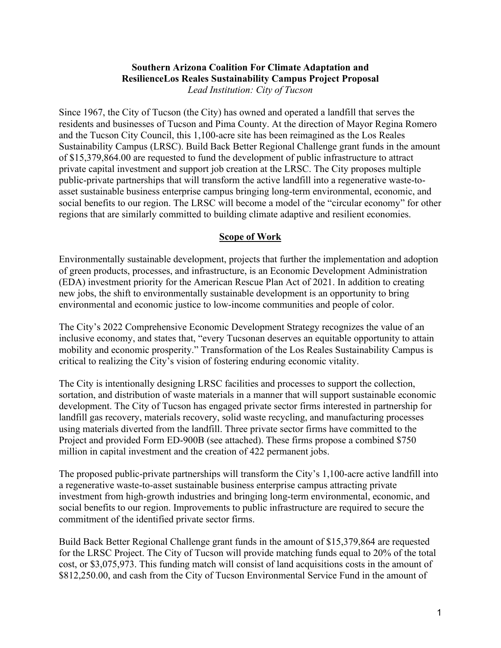### **Southern Arizona Coalition For Climate Adaptation and ResilienceLos Reales Sustainability Campus Project Proposal** *Lead Institution: City of Tucson*

Since 1967, the City of Tucson (the City) has owned and operated a landfill that serves the residents and businesses of Tucson and Pima County. At the direction of Mayor Regina Romero and the Tucson City Council, this 1,100-acre site has been reimagined as the Los Reales Sustainability Campus (LRSC). Build Back Better Regional Challenge grant funds in the amount of \$15,379,864.00 are requested to fund the development of public infrastructure to attract private capital investment and support job creation at the LRSC. The City proposes multiple public-private partnerships that will transform the active landfill into a regenerative waste-toasset sustainable business enterprise campus bringing long-term environmental, economic, and social benefits to our region. The LRSC will become a model of the "circular economy" for other regions that are similarly committed to building climate adaptive and resilient economies.

## **Scope of Work**

Environmentally sustainable development, projects that further the implementation and adoption of green products, processes, and infrastructure, is an Economic Development Administration (EDA) investment priority for the American Rescue Plan Act of 2021. In addition to creating new jobs, the shift to environmentally sustainable development is an opportunity to bring environmental and economic justice to low-income communities and people of color.

The City's 2022 Comprehensive Economic Development Strategy recognizes the value of an inclusive economy, and states that, "every Tucsonan deserves an equitable opportunity to attain mobility and economic prosperity." Transformation of the Los Reales Sustainability Campus is critical to realizing the City's vision of fostering enduring economic vitality.

The City is intentionally designing LRSC facilities and processes to support the collection, sortation, and distribution of waste materials in a manner that will support sustainable economic development. The City of Tucson has engaged private sector firms interested in partnership for landfill gas recovery, materials recovery, solid waste recycling, and manufacturing processes using materials diverted from the landfill. Three private sector firms have committed to the Project and provided Form ED-900B (see attached). These firms propose a combined \$750 million in capital investment and the creation of 422 permanent jobs.

The proposed public-private partnerships will transform the City's 1,100-acre active landfill into a regenerative waste-to-asset sustainable business enterprise campus attracting private investment from high-growth industries and bringing long-term environmental, economic, and social benefits to our region. Improvements to public infrastructure are required to secure the commitment of the identified private sector firms.

Build Back Better Regional Challenge grant funds in the amount of \$15,379,864 are requested for the LRSC Project. The City of Tucson will provide matching funds equal to 20% of the total cost, or \$3,075,973. This funding match will consist of land acquisitions costs in the amount of \$812,250.00, and cash from the City of Tucson Environmental Service Fund in the amount of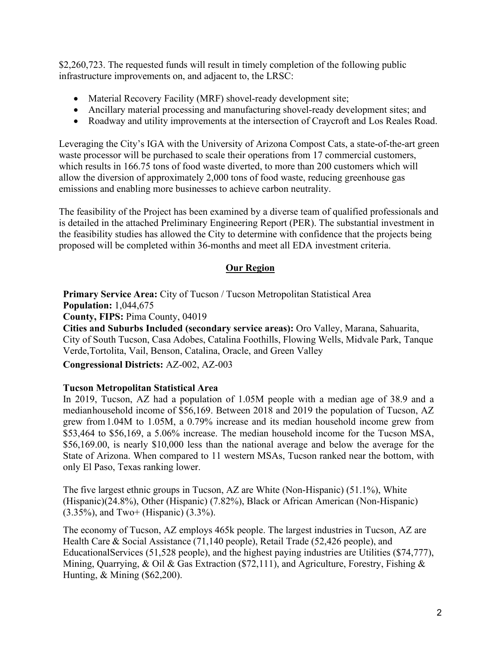\$2,260,723. The requested funds will result in timely completion of the following public infrastructure improvements on, and adjacent to, the LRSC:

- Material Recovery Facility (MRF) shovel-ready development site;
- Ancillary material processing and manufacturing shovel-ready development sites; and
- Roadway and utility improvements at the intersection of Craycroft and Los Reales Road.

Leveraging the City's IGA with the University of Arizona Compost Cats, a state-of-the-art green waste processor will be purchased to scale their operations from 17 commercial customers, which results in 166.75 tons of food waste diverted, to more than 200 customers which will allow the diversion of approximately 2,000 tons of food waste, reducing greenhouse gas emissions and enabling more businesses to achieve carbon neutrality.

The feasibility of the Project has been examined by a diverse team of qualified professionals and is detailed in the attached Preliminary Engineering Report (PER). The substantial investment in the feasibility studies has allowed the City to determine with confidence that the projects being proposed will be completed within 36-months and meet all EDA investment criteria.

# **Our Region**

**Primary Service Area:** City of Tucson / Tucson Metropolitan Statistical Area **Population:** 1,044,675 **County, FIPS:** Pima County, 04019

**Cities and Suburbs Included (secondary service areas):** Oro Valley, Marana, Sahuarita, City of South Tucson, Casa Adobes, Catalina Foothills, Flowing Wells, Midvale Park, Tanque Verde,Tortolita, Vail, Benson, Catalina, Oracle, and Green Valley

**Congressional Districts:** AZ-002, AZ-003

## **Tucson Metropolitan Statistical Area**

In 2019, Tucson, AZ had a population of 1.05M people with a median age of 38.9 and a medianhousehold income of \$56,169. Between 2018 and 2019 the population of Tucson, AZ grew from1.04M to 1.05M, a 0.79% increase and its median household income grew from \$53,464 to \$56,169, a 5.06% increase. The median household income for the Tucson MSA, \$56,169.00, is nearly \$10,000 less than the national average and below the average for the State of Arizona. When compared to 11 western MSAs, Tucson ranked near the bottom, with only El Paso, Texas ranking lower.

The five largest ethnic groups in Tucson, AZ are White (Non-Hispanic) (51.1%), White (Hispanic)(24.8%), Other (Hispanic) (7.82%), Black or African American (Non-Hispanic) (3.35%), and Two+ (Hispanic) (3.3%).

The economy of Tucson, AZ employs 465k people. The largest industries in Tucson, AZ are Health Care & Social Assistance (71,140 people), Retail Trade (52,426 people), and EducationalServices (51,528 people), and the highest paying industries are Utilities (\$74,777), Mining, Quarrying, & Oil & Gas Extraction (\$72,111), and Agriculture, Forestry, Fishing & Hunting, & Mining (\$62,200).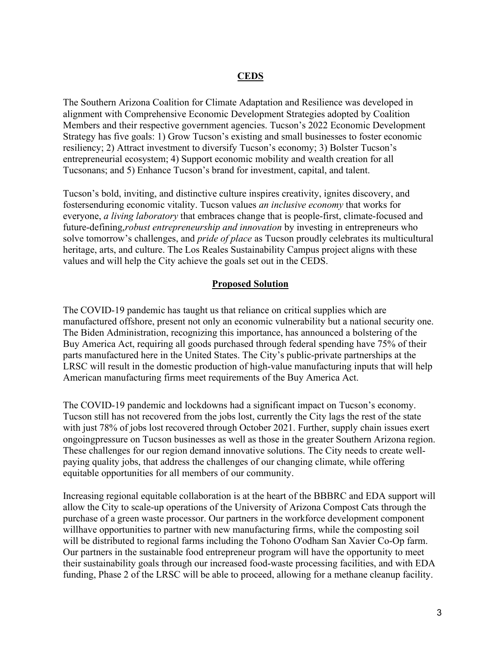#### **CEDS**

The Southern Arizona Coalition for Climate Adaptation and Resilience was developed in alignment with Comprehensive Economic Development Strategies adopted by Coalition Members and their respective government agencies. Tucson's 2022 Economic Development Strategy has five goals: 1) Grow Tucson's existing and small businesses to foster economic resiliency; 2) Attract investment to diversify Tucson's economy; 3) Bolster Tucson's entrepreneurial ecosystem; 4) Support economic mobility and wealth creation for all Tucsonans; and 5) Enhance Tucson's brand for investment, capital, and talent.

Tucson's bold, inviting, and distinctive culture inspires creativity, ignites discovery, and fostersenduring economic vitality. Tucson values *an inclusive economy* that works for everyone, *a living laboratory* that embraces change that is people-first, climate-focused and future-defining,*robust entrepreneurship and innovation* by investing in entrepreneurs who solve tomorrow's challenges, and *pride of place* as Tucson proudly celebrates its multicultural heritage, arts, and culture. The Los Reales Sustainability Campus project aligns with these values and will help the City achieve the goals set out in the CEDS.

#### **Proposed Solution**

The COVID-19 pandemic has taught us that reliance on critical supplies which are manufactured offshore, present not only an economic vulnerability but a national security one. The Biden Administration, recognizing this importance, has announced a bolstering of the Buy America Act, requiring all goods purchased through federal spending have 75% of their parts manufactured here in the United States. The City's public-private partnerships at the LRSC will result in the domestic production of high-value manufacturing inputs that will help American manufacturing firms meet requirements of the Buy America Act.

The COVID-19 pandemic and lockdowns had a significant impact on Tucson's economy. Tucson still has not recovered from the jobs lost, currently the City lags the rest of the state with just 78% of jobs lost recovered through October 2021. Further, supply chain issues exert ongoingpressure on Tucson businesses as well as those in the greater Southern Arizona region. These challenges for our region demand innovative solutions. The City needs to create wellpaying quality jobs, that address the challenges of our changing climate, while offering equitable opportunities for all members of our community.

Increasing regional equitable collaboration is at the heart of the BBBRC and EDA support will allow the City to scale-up operations of the University of Arizona Compost Cats through the purchase of a green waste processor. Our partners in the workforce development component willhave opportunities to partner with new manufacturing firms, while the composting soil will be distributed to regional farms including the Tohono O'odham San Xavier Co-Op farm. Our partners in the sustainable food entrepreneur program will have the opportunity to meet their sustainability goals through our increased food-waste processing facilities, and with EDA funding, Phase 2 of the LRSC will be able to proceed, allowing for a methane cleanup facility.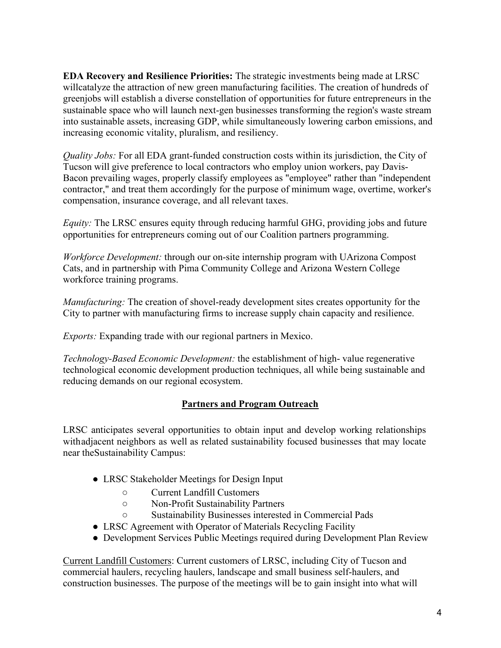**EDA Recovery and Resilience Priorities:** The strategic investments being made at LRSC willcatalyze the attraction of new green manufacturing facilities. The creation of hundreds of greenjobs will establish a diverse constellation of opportunities for future entrepreneurs in the sustainable space who will launch next-gen businesses transforming the region's waste stream into sustainable assets, increasing GDP, while simultaneously lowering carbon emissions, and increasing economic vitality, pluralism, and resiliency.

*Quality Jobs:* For all EDA grant-funded construction costs within its jurisdiction, the City of Tucson will give preference to local contractors who employ union workers, pay Davis-Bacon prevailing wages, properly classify employees as "employee" rather than "independent contractor," and treat them accordingly for the purpose of minimum wage, overtime, worker's compensation, insurance coverage, and all relevant taxes.

*Equity:* The LRSC ensures equity through reducing harmful GHG, providing jobs and future opportunities for entrepreneurs coming out of our Coalition partners programming.

*Workforce Development:* through our on-site internship program with UArizona Compost Cats, and in partnership with Pima Community College and Arizona Western College workforce training programs.

*Manufacturing:* The creation of shovel-ready development sites creates opportunity for the City to partner with manufacturing firms to increase supply chain capacity and resilience.

*Exports:* Expanding trade with our regional partners in Mexico.

*Technology-Based Economic Development:* the establishment of high- value regenerative technological economic development production techniques, all while being sustainable and reducing demands on our regional ecosystem.

## **Partners and Program Outreach**

LRSC anticipates several opportunities to obtain input and develop working relationships withadjacent neighbors as well as related sustainability focused businesses that may locate near theSustainability Campus:

- LRSC Stakeholder Meetings for Design Input
	- Current Landfill Customers
	- Non-Profit Sustainability Partners
	- Sustainability Businesses interested in Commercial Pads
- LRSC Agreement with Operator of Materials Recycling Facility
- Development Services Public Meetings required during Development Plan Review

Current Landfill Customers: Current customers of LRSC, including City of Tucson and commercial haulers, recycling haulers, landscape and small business self-haulers, and construction businesses. The purpose of the meetings will be to gain insight into what will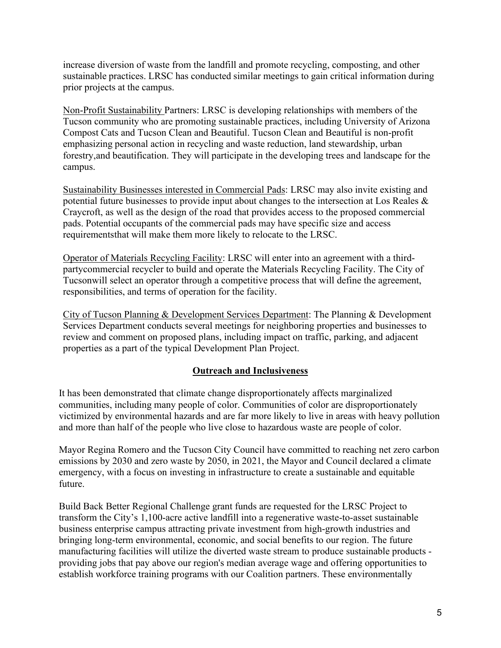increase diversion of waste from the landfill and promote recycling, composting, and other sustainable practices. LRSC has conducted similar meetings to gain critical information during prior projects at the campus.

Non-Profit Sustainability Partners: LRSC is developing relationships with members of the Tucson community who are promoting sustainable practices, including University of Arizona Compost Cats and Tucson Clean and Beautiful. Tucson Clean and Beautiful is non-profit emphasizing personal action in recycling and waste reduction, land stewardship, urban forestry,and beautification. They will participate in the developing trees and landscape for the campus.

Sustainability Businesses interested in Commercial Pads: LRSC may also invite existing and potential future businesses to provide input about changes to the intersection at Los Reales & Craycroft, as well as the design of the road that provides access to the proposed commercial pads. Potential occupants of the commercial pads may have specific size and access requirementsthat will make them more likely to relocate to the LRSC.

Operator of Materials Recycling Facility: LRSC will enter into an agreement with a thirdpartycommercial recycler to build and operate the Materials Recycling Facility. The City of Tucsonwill select an operator through a competitive process that will define the agreement, responsibilities, and terms of operation for the facility.

City of Tucson Planning & Development Services Department: The Planning & Development Services Department conducts several meetings for neighboring properties and businesses to review and comment on proposed plans, including impact on traffic, parking, and adjacent properties as a part of the typical Development Plan Project.

## **Outreach and Inclusiveness**

It has been demonstrated that climate change disproportionately affects marginalized communities, including many people of color. Communities of color are disproportionately victimized by environmental hazards and are far more likely to live in areas with heavy pollution and more than half of the people who live close to hazardous waste are people of color.

Mayor Regina Romero and the Tucson City Council have committed to reaching net zero carbon emissions by 2030 and zero waste by 2050, in 2021, the Mayor and Council declared a climate emergency, with a focus on investing in infrastructure to create a sustainable and equitable future.

Build Back Better Regional Challenge grant funds are requested for the LRSC Project to transform the City's 1,100-acre active landfill into a regenerative waste-to-asset sustainable business enterprise campus attracting private investment from high-growth industries and bringing long-term environmental, economic, and social benefits to our region. The future manufacturing facilities will utilize the diverted waste stream to produce sustainable products providing jobs that pay above our region's median average wage and offering opportunities to establish workforce training programs with our Coalition partners. These environmentally